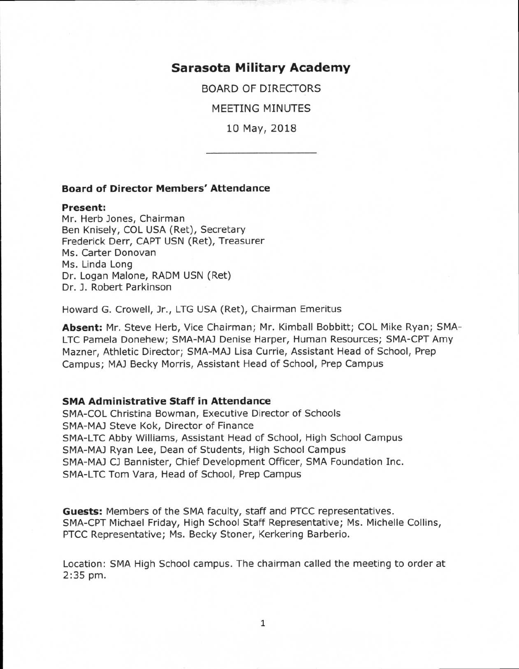**Sarasota Military Academy** 

BOARD OF DIRECTORS

MEETING MINUTES

10 May, 2018

# **Board of Director Members' Attendance**

#### **Present:**

Mr. Herb Jones, Chairman Ben Knisely, COL USA (Ret), Secretary Frederick Derr, CAPT USN (Ret), Treasurer Ms. Carter Donovan Ms. Linda Long Dr. Logan Malone, RADM USN (Ret) Dr. J. Robert Parkinson

Howard G. Crowell, Jr., LTG USA (Ret), Chairman Emeritus

**Absent:** Mr. Steve Herb, Vice Chairman; Mr. Kimball Bobbitt; COL Mike Ryan; SMA-LTC Pamela Donehew; SMA-MAJ Denise Harper, Human Resources; SMA-CPT Amy Mazner, Athletic Director; SMA-MAJ Lisa Currie, Assistant Head of School, Prep Campus; MAJ Becky Morris, Assistant Head of School, Prep Campus

### **SMA Administrative Staff in Attendance**

SMA-COL Christina Bowman, Executive Director of Schools SMA-MAJ Steve Kok, Director of Finance SMA-LTC Abby Williams, Assistant Head of School, High School Campus SMA-MAJ Ryan Lee, Dean of Students, High School Campus SMA-MAJ CJ Bannister, Chief Development Officer, SMA Foundation Inc. SMA-LTC Tom Vara, Head of School, Prep Campus

**Guests:** Members of the SMA faculty, staff and PTCC representatives. SMA-CPT Michael Friday, High School Staff Representative; Ms. Michelle Collins, PTCC Representative; Ms. Becky Stoner, Kerkering Barberio.

Location: SMA High School campus. The chairman called the meeting to order at 2:35 pm.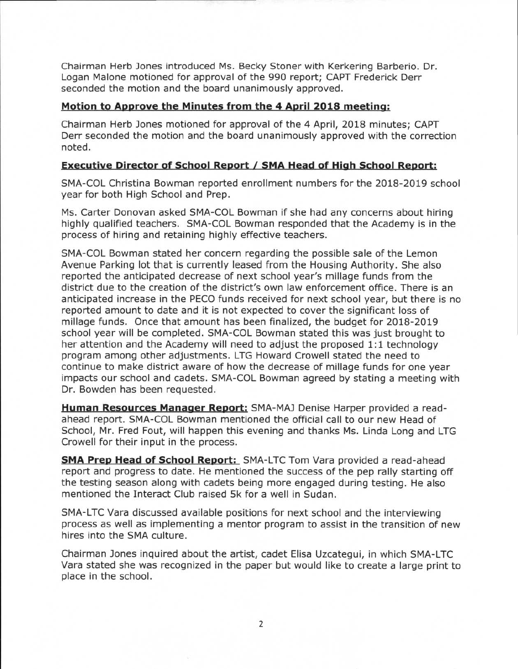Chairman Herb Jones introduced Ms. Becky Stoner with Kerkering Barberio. Dr. Logan Malone motioned for approval of the 990 report; CAPT Frederick Derr seconded the motion and the board unanimously approved.

# **Motion to Approve the Minutes from the 4 April 2018 meeting:**

Chairman Herb Jones motioned for approval of the 4 April, 2018 minutes; CAPT Derr seconded the motion and the board unanimously approved with the correction noted.

# **Executive Director of School Report / SMA Head of High School Report:**

SMA-COL Christina Bowman reported enrollment numbers for the 2018-2019 school year for both High School and Prep.

Ms. Carter Donovan asked SMA-COL Bowman if she had any concerns about hiring highly qualified teachers. SMA-COL Bowman responded that the Academy is in the process of hiring and retaining highly effective teachers.

SMA-COL Bowman stated her concern regarding the possible sale of the Lemon Avenue Parking lot that is currently leased from the Housing Authority. She also reported the anticipated decrease of next school year's millage funds from the district due to the creation of the district's own law enforcement office. There is an anticipated increase in the PECO funds received for next school year, but there is no reported amount to date and it is not expected to cover the significant loss of millage funds. Once that amount has been finalized, the budget for 2018-2019 school year will be completed. SMA-COL Bowman stated this was just brought to her attention and the Academy will need to adjust the proposed 1:1 technology program among other adjustments. LTG Howard Crowell stated the need to continue to make district aware of how the decrease of millage funds for one year impacts our school and cadets. SMA-COL Bowman agreed by stating a meeting with Dr. Bowden has been requested.

**Human Resources Manager Report:** SMA-MAJ Denise Harper provided a readahead report. SMA-COL Bowman mentioned the official call to our new Head of School, Mr. Fred Fout, will happen this evening and thanks Ms. Linda Long and LTG Crowell for their input in the process.

**SMA Prep Head of School Report:** SMA-LTC Tom Vara provided a read-ahead report and progress to date. He mentioned the success of the pep rally starting off the testing season along with cadets being more engaged during testing. He also mentioned the Interact Club raised 5k for a well in Sudan.

SMA-LTC Vara discussed available positions for next school and the interviewing process as well as implementing a mentor program to assist in the transition of new hires into the SMA culture.

Chairman Jones inquired about the artist, cadet Elisa Uzcategui, in which SMA-LTC Vara stated she was recognized in the paper but would like to create a large print to place in the school.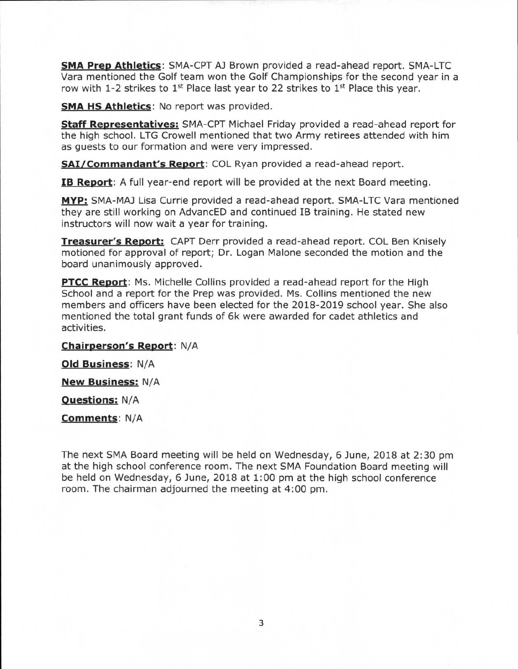**SMA Prep Athletics:** SMA-CPT AJ Brown provided a read-ahead report. SMA-LTC Vara mentioned the Golf team won the Golf Championships for the second year in a row with 1-2 strikes to 1<sup>st</sup> Place last year to 22 strikes to 1<sup>st</sup> Place this year.

**SMA HS Athletics:** No report was provided.

**Staff Representatives:** SMA-CPT Michael Friday provided a read-ahead report for the high school. LTG Crowell mentioned that two Army retirees attended with him as guests to our formation and were very impressed.

**SAI/Commandant's Report:** COL Ryan provided a read-ahead report.

**IB Report:** A full year-end report will be provided at the next Board meeting.

**MYP:** SMA-MAJ Lisa Currie provided a read-ahead report. SMA-LTC Vara mentioned they are still working on AdvancED and continued IB training. He stated new instructors will now wait a year for training.

**Treasurer's Report:** CAPT Derr provided a read-ahead report. COL Ben Knisely motioned for approval of report; Dr. Logan Malone seconded the motion and the board unanimously approved.

**PTCC Report:** Ms. Michelle Collins provided a read-ahead report for the High School and a report for the Prep was provided. Ms. Collins mentioned the new members and officers have been elected for the 2018-2019 school year. She also mentioned the total grant funds of 6k were awarded for cadet athletics and activities.

**Chairperson's Report:** N/A

**Old Business:** N/A

**New Business:** N/A

**Questions:** N/A

**Comments:** N/A

The next SMA Board meeting will be held on Wednesday, 6 June, 2018 at 2:30 pm at the high school conference room. The next SMA Foundation Board meeting will be held on Wednesday, 6 June, 2018 at 1:00 pm at the high school conference room. The chairman adjourned the meeting at 4:00 pm.